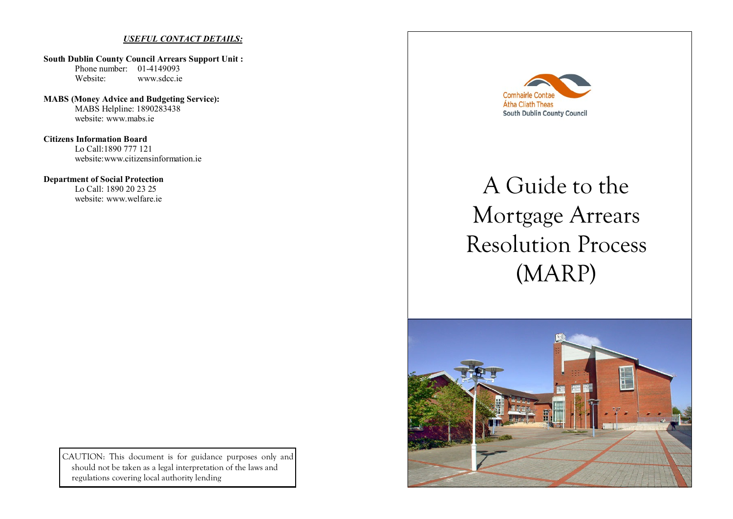## *USEFUL CONTACT DETAILS:*

**South Dublin County Council Arrears Support Unit :**  Phone number: 01-4149093 Website: www.sdcc.ie

**MABS (Money Advice and Budgeting Service):** MABS Helpline: 1890283438 website: www.mabs.ie

**Citizens Information Board** Lo Call:1890 777 121 website: www.citizensinformation.ie

**Department of Social Protection** Lo Call: 1890 20 23 25 website: www.welfare.ie

> CAUTION: This document is for guidance purposes only and should not be taken as a legal interpretation of the laws and regulations covering local authority lending



# A Guide to the Mortgage Arrears Resolution Process (MARP)

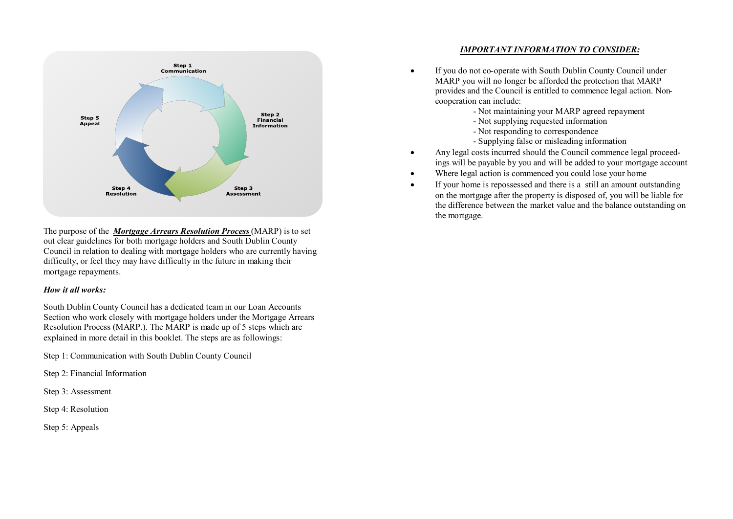

The purpose of the *Mortgage Arrears Resolution Process* (MARP) is to set out clear guidelines for both mortgage holders and South Dublin County Council in relation to dealing with mortgage holders who are currently having difficulty, or feel they may have difficulty in the future in making their mortgage repayments.

#### *How it all works:*

South Dublin County Council has a dedicated team in our Loan Accounts Section who work closely with mortgage holders under the Mortgage Arrears Resolution Process (MARP.). The MARP is made up of 5 steps which are explained in more detail in this booklet. The steps are as followings:

Step 1: Communication with South Dublin County Council

Step 2: Financial Information

Step 3: Assessment

Step 4: Resolution

Step 5: Appeals

## *IMPORTANT INFORMATION TO CONSIDER:*

- If you do not co-operate with South Dublin County Council under MARP you will no longer be afforded the protection that MARP provides and the Council is entitled to commence legal action. Noncooperation can include:
	- Not maintaining your MARP agreed repayment
	- Not supplying requested information
	- Not responding to correspondence
	- Supplying false or misleading information
- Any legal costs incurred should the Council commence legal proceedings will be payable by you and will be added to your mortgage account
- Where legal action is commenced you could lose your home
- If your home is repossessed and there is a still an amount outstanding on the mortgage after the property is disposed of, you will be liable for the difference between the market value and the balance outstanding on the mortgage.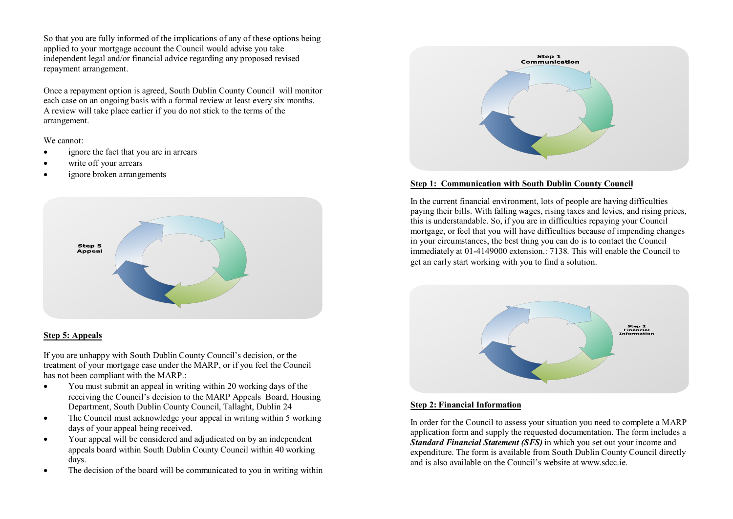So that you are fully informed of the implications of any of these options being applied to your mortgage account the Council would advise you take independent legal and/or financial advice regarding any proposed revised repayment arrangement.

Once a repayment option is agreed, South Dublin County Council will monitor each case on an ongoing basis with a formal review at least every six months. A review will take place earlier if you do not stick to the terms of the arrangement.

We cannot:

- ignore the fact that you are in arrears
- write off your arrears
- ignore broken arrangements



# **Step 5: Appeals**

If you are unhappy with South Dublin County Council's decision, or the treatment of your mortgage case under the MARP, or if you feel the Council has not been compliant with the MARP.:

- You must submit an appeal in writing within 20 working days of the receiving the Council's decision to the MARP Appeals Board, Housing Department, South Dublin County Council, Tallaght, Dublin 24
- The Council must acknowledge your appeal in writing within 5 working days of your appeal being received.
- Your appeal will be considered and adjudicated on by an independent appeals board within South Dublin County Council within 40 working days.
- The decision of the board will be communicated to you in writing within



## **Step 1: Communication with South Dublin County Council**

In the current financial environment, lots of people are having difficulties paying their bills. With falling wages, rising taxes and levies, and rising prices, this is understandable. So, if you are in difficulties repaying your Council mortgage, or feel that you will have difficulties because of impending changes in your circumstances, the best thing you can do is to contact the Council immediately at 01-4149000 extension.: 7138. This will enable the Council to get an early start working with you to find a solution.



## **Step 2: Financial Information**

In order for the Council to assess your situation you need to complete a MARP application form and supply the requested documentation. The form includes a *Standard Financial Statement (SFS)* in which you set out your income and expenditure. The form is available from South Dublin County Council directly and is also available on the Council's website at www.sdcc.ie.